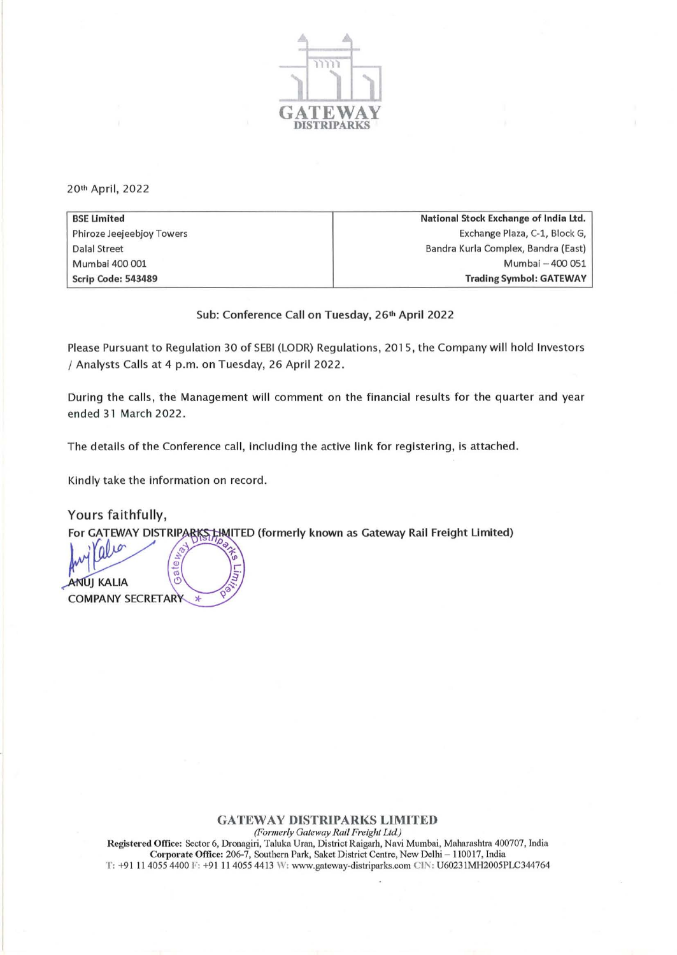

20th April, 2022

| <b>BSE Limited</b>        | National Stock Exchange of India Ltd. |
|---------------------------|---------------------------------------|
| Phiroze Jeejeebjoy Towers | Exchange Plaza, C-1, Block G,         |
| Dalal Street              | Bandra Kurla Complex, Bandra (East)   |
| Mumbai 400 001            | Mumbai - 400 051                      |
| Scrip Code: 543489        | <b>Trading Symbol: GATEWAY</b>        |

Sub: Conference Call on Tuesday, 26<sup>th</sup> April 2022

Please Pursuant to Regulation 30 of SEBI (LODR) Regulations, 201 5, the Company will hold Investors / Analysts Calls at 4 p.m. on Tuesday, 26 April 2022 .

During the calls, the Management will comment on the financial results for the quarter and year ended 31 March 2022 .

The details of the Conference call, including the active link for registering, is attached.

Kindly take the information on record.

Yours faithfully,

For GATEWAY DISTRIPARKS HAITED (formerly known as Gateway Rail Freight Limited)

 $\overline{\omega}$ Te: **ANUJ KALIA COMPANY SECRETARY** 

## GATEWAY DISTRIPARKS LIMITED *(Formerly Gateway Rail Freight Ltd)*

Registered Office: Sector 6, Dronagiri, Taluka Uran, District Raigarh, Navi Mumbai, Maharashtra 400707, India Corporate Office: 206-7, Southern Park, Saket District Centre, New Delhi - 110017, India T: +91 11 4055 4400 F: +91 11 4055 4413 W: www.gateway-distriparks.com ClN: U60231MH2005PLC344764